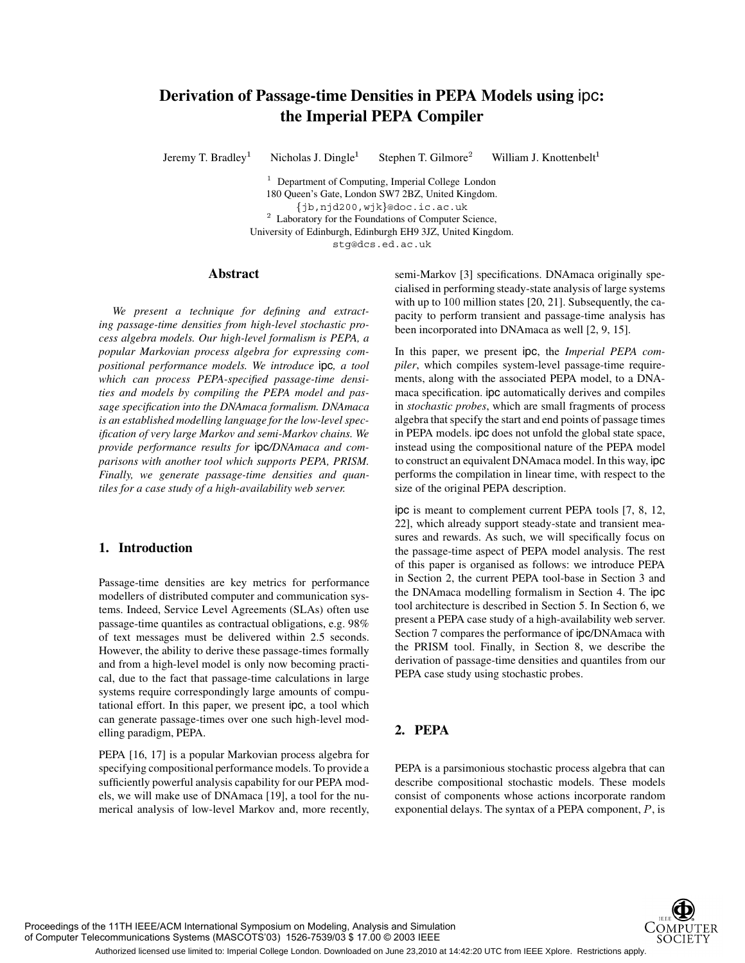## **Derivation of Passage-time Densities in PEPA Models using** ipc**: the Imperial PEPA Compiler**

Jeremy T. Bradley<sup>1</sup>

Nicholas J. Dingle<sup>1</sup> Stephen T. Gilmore William J. Knottenbelt<sup>1</sup>

<sup>1</sup> Department of Computing, Imperial College London 180 Queen's Gate, London SW7 2BZ, United Kingdom. jb,njd200,wjk@doc.ic.ac.uk <sup>2</sup> Laboratory for the Foundations of Computer Science, University of Edinburgh, Edinburgh EH9 3JZ, United Kingdom. stg@dcs.ed.ac.uk

## **Abstract**

*We present a technique for defining and extracting passage-time densities from high-level stochastic process algebra models. Our high-level formalism is PEPA, a popular Markovian process algebra for expressing compositional performance models. We introduce* ipc*, a tool which can process PEPA-specified passage-time densities and models by compiling the PEPA model and passage specification into the DNAmaca formalism. DNAmaca is an established modelling language for the low-level specification of very large Markov and semi-Markov chains. We provide performance results for* ipc*/DNAmaca and comparisons with another tool which supports PEPA, PRISM. Finally, we generate passage-time densities and quantiles for a case study of a high-availability web server.*

## **1. Introduction**

Passage-time densities are key metrics for performance modellers of distributed computer and communication systems. Indeed, Service Level Agreements (SLAs) often use passage-time quantiles as contractual obligations, e.g. 98% of text messages must be delivered within 2.5 seconds. However, the ability to derive these passage-times formally and from a high-level model is only now becoming practical, due to the fact that passage-time calculations in large systems require correspondingly large amounts of computational effort. In this paper, we present ipc, a tool which can generate passage-times over one such high-level modelling paradigm, PEPA.

PEPA [16, 17] is a popular Markovian process algebra for specifying compositional performance models. To provide a sufficiently powerful analysis capability for our PEPA models, we will make use of DNAmaca [19], a tool for the numerical analysis of low-level Markov and, more recently, semi-Markov [3] specifications. DNAmaca originally specialised in performing steady-state analysis of large systems with up to  $100$  million states  $[20, 21]$ . Subsequently, the capacity to perform transient and passage-time analysis has been incorporated into DNAmaca as well [2, 9, 15].

In this paper, we present ipc, the *Imperial PEPA compiler*, which compiles system-level passage-time requirements, along with the associated PEPA model, to a DNAmaca specification. ipc automatically derives and compiles in *stochastic probes*, which are small fragments of process algebra that specify the start and end points of passage times in PEPA models. ipc does not unfold the global state space, instead using the compositional nature of the PEPA model to construct an equivalent DNAmaca model. In this way, ipc performs the compilation in linear time, with respect to the size of the original PEPA description.

ipc is meant to complement current PEPA tools [7, 8, 12, 22], which already support steady-state and transient measures and rewards. As such, we will specifically focus on the passage-time aspect of PEPA model analysis. The rest of this paper is organised as follows: we introduce PEPA in Section 2, the current PEPA tool-base in Section 3 and the DNAmaca modelling formalism in Section 4. The ipc tool architecture is described in Section 5. In Section 6, we present a PEPA case study of a high-availability web server. Section 7 compares the performance of ipc/DNAmaca with the PRISM tool. Finally, in Section 8, we describe the derivation of passage-time densities and quantiles from our PEPA case study using stochastic probes.

## **2. PEPA**

PEPA is a parsimonious stochastic process algebra that can describe compositional stochastic models. These models consist of components whose actions incorporate random exponential delays. The syntax of a PEPA component,  $P$ , is

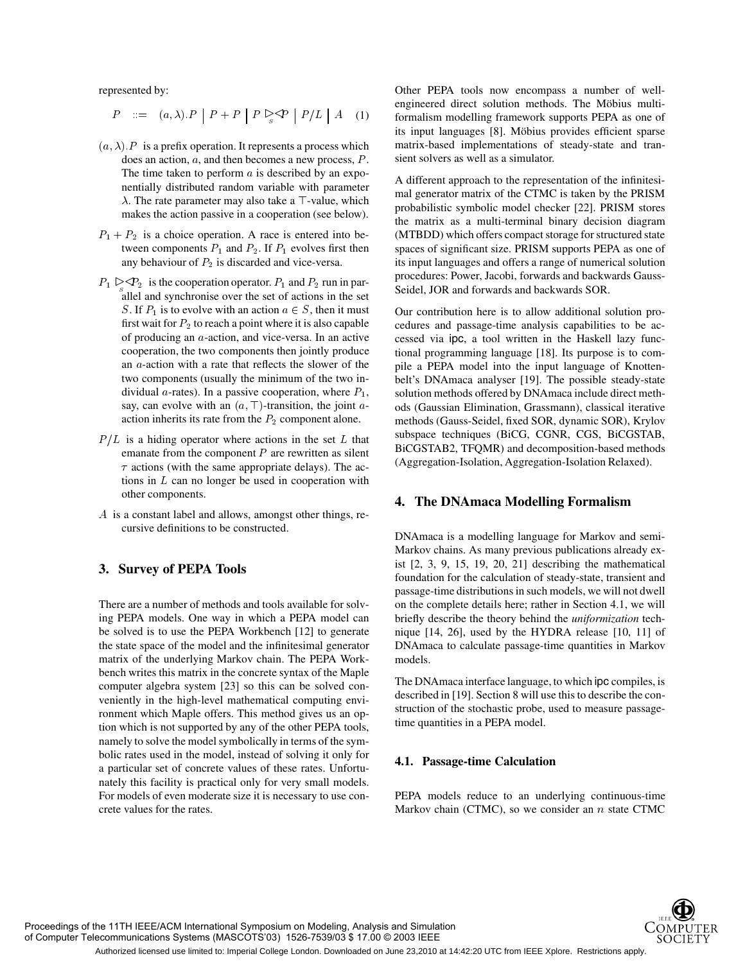represented by:

$$
P ::= (a, \lambda).P \mid P + P \mid P \triangleright_{s} \varphi \mid P/L \mid A \quad (1) \qquad \text{for}
$$

- $(a, \lambda)$ . P is a prefix operation. It represents a process which does an action,  $a$ , and then becomes a new process,  $P$ . The time taken to perform  $\alpha$  is described by an exponentially distributed random variable with parameter  $\lambda$ . The rate parameter may also take a  $\top$ -value, which makes the action passive in a cooperation (see below).
- $P_1 + P_2$  is a choice operation. A race is entered into between components  $P_1$  and  $P_2$ . If  $P_1$  evolves first then any behaviour of  $P_2$  is discarded and vice-versa.
- $P_1 \triangleright_S \triangleleft P_2$  is the cooperation operator.  $P_1$  and  $P_2$  run in parallel and synchronise over the set of actions in the set S. If  $P_1$  is to evolve with an action  $a \in S$ , then it must first wait for  $P_2$  to reach a point where it is also capable of producing an  $a$ -action, and vice-versa. In an active cooperation, the two components then jointly produce an  $a$ -action with a rate that reflects the slower of the two components (usually the minimum of the two individual a-rates). In a passive cooperation, where  $P_1$ , say, can evolve with an  $(a, \top)$ -transition, the joint aaction inherits its rate from the  $P_2$  component alone.
- $P/L$  is a hiding operator where actions in the set  $L$  that emanate from the component  $P$  are rewritten as silent  $\tau$  actions (with the same appropriate delays). The actions in  $L$  can no longer be used in cooperation with other components.
- $\overline{A}$  is a constant label and allows, amongst other things, recursive definitions to be constructed.

## **3. Survey of PEPA Tools**

There are a number of methods and tools available for solving PEPA models. One way in which a PEPA model can be solved is to use the PEPA Workbench [12] to generate the state space of the model and the infinitesimal generator matrix of the underlying Markov chain. The PEPA Workbench writes this matrix in the concrete syntax of the Maple computer algebra system [23] so this can be solved conveniently in the high-level mathematical computing environment which Maple offers. This method gives us an option which is not supported by any of the other PEPA tools, namely to solve the model symbolically in terms of the symbolic rates used in the model, instead of solving it only for a particular set of concrete values of these rates. Unfortunately this facility is practical only for very small models. For models of even moderate size it is necessary to use concrete values for the rates.

Other PEPA tools now encompass a number of wellengineered direct solution methods. The Möbius multiformalism modelling framework supports PEPA as one of its input languages [8]. Möbius provides efficient sparse matrix-based implementations of steady-state and transient solvers as well as a simulator.

A different approach to the representation of the infinitesimal generator matrix of the CTMC is taken by the PRISM probabilistic symbolic model checker [22]. PRISM stores the matrix as a multi-terminal binary decision diagram (MTBDD) which offers compact storage for structured state spaces of significant size. PRISM supports PEPA as one of its input languages and offers a range of numerical solution procedures: Power, Jacobi, forwards and backwards Gauss-Seidel, JOR and forwards and backwards SOR.

Our contribution here is to allow additional solution procedures and passage-time analysis capabilities to be accessed via ipc, a tool written in the Haskell lazy functional programming language [18]. Its purpose is to compile a PEPA model into the input language of Knottenbelt's DNAmaca analyser [19]. The possible steady-state solution methods offered by DNAmaca include direct methods (Gaussian Elimination, Grassmann), classical iterative methods (Gauss-Seidel, fixed SOR, dynamic SOR), Krylov subspace techniques (BiCG, CGNR, CGS, BiCGSTAB, BiCGSTAB2, TFQMR) and decomposition-based methods (Aggregation-Isolation, Aggregation-Isolation Relaxed).

## **4. The DNAmaca Modelling Formalism**

DNAmaca is a modelling language for Markov and semi-Markov chains. As many previous publications already exist [2, 3, 9, 15, 19, 20, 21] describing the mathematical foundation for the calculation of steady-state, transient and passage-time distributions in such models, we will not dwell on the complete details here; rather in Section 4.1, we will briefly describe the theory behind the *uniformization* technique [14, 26], used by the HYDRA release [10, 11] of DNAmaca to calculate passage-time quantities in Markov models.

The DNAmaca interface language, to which ipc compiles, is described in [19]. Section 8 will use this to describe the construction of the stochastic probe, used to measure passagetime quantities in a PEPA model.

## **4.1. Passage-time Calculation**

PEPA models reduce to an underlying continuous-time Markov chain (CTMC), so we consider an  $n$  state CTMC

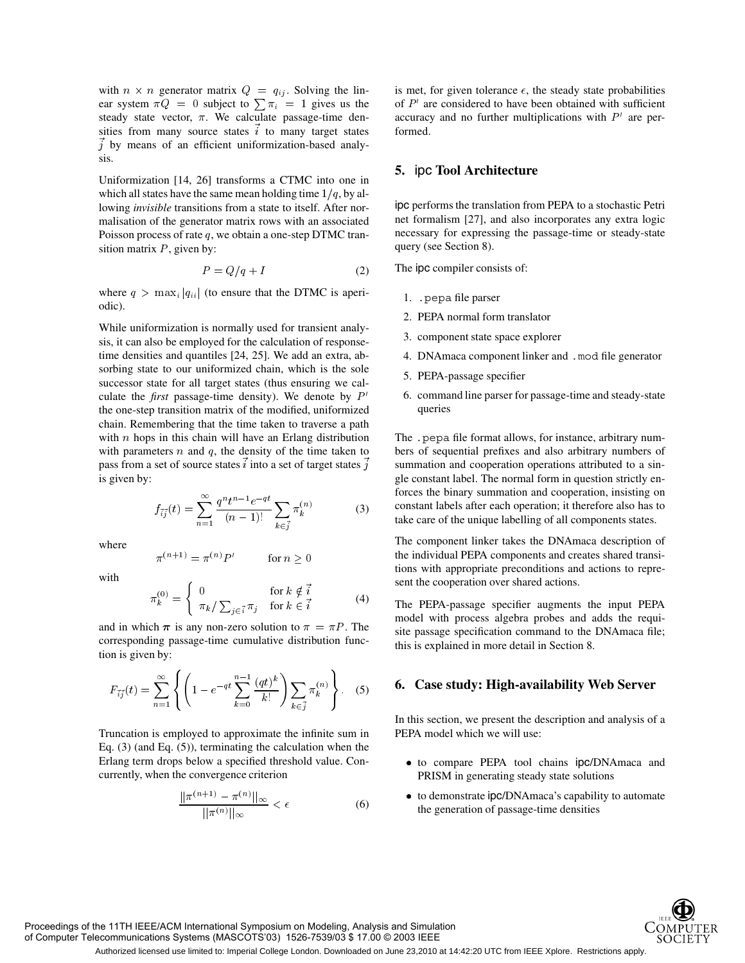with  $n \times n$  generator matrix  $Q = q_{ij}$ . Solving the linear system  $\pi Q = 0$  subject to  $\sum \pi_i = 1$  gives us the steady state vector,  $\pi$ . We calculate passage-time densities from many source states  $i$  to many target states  $\vec{j}$  by means of an efficient uniformization-based analysis.

Uniformization [14, 26] transforms a CTMC into one in which all states have the same mean holding time  $1/q$ , by allowing *invisible* transitions from a state to itself. After normalisation of the generator matrix rows with an associated Poisson process of rate  $q$ , we obtain a one-step DTMC transition matrix  $P$ , given by:

$$
P = Q/q + I \tag{2}
$$

where  $q > \max_i |q_{ii}|$  (to ensure that the DTMC is aperiodic).

While uniformization is normally used for transient analysis, it can also be employed for the calculation of responsetime densities and quantiles [24, 25]. We add an extra, absorbing state to our uniformized chain, which is the sole successor state for all target states (thus ensuring we calculate the *first* passage-time density). We denote by  $P'$ the one-step transition matrix of the modified, uniformized chain. Remembering that the time taken to traverse a path with  $n$  hops in this chain will have an Erlang distribution with parameters  $n$  and  $q$ , the density of the time taken to pass from a set of source states  $i$  into a set of target states  $j$ is given by:

$$
f_{\vec{i}\vec{j}}(t) = \sum_{n=1}^{\infty} \frac{q^n t^{n-1} e^{-qt}}{(n-1)!} \sum_{k \in \vec{j}} \pi_k^{(n)} \tag{3}
$$
 consta

where

$$
\pi^{(n+1)} = \pi^{(n)}P' \qquad \text{for } n \ge 0
$$

with

$$
\pi_k^{(0)} = \begin{cases}\n0 & \text{for } k \notin \vec{i} \\
\pi_k / \sum_{j \in \vec{i}} \pi_j & \text{for } k \in \vec{i}\n\end{cases}
$$
\n(4)

and in which  $\pi$  is any non-zero solution to  $\pi = \pi P$ . The corresponding passage-time cumulative distribution function is given by:

$$
F_{\vec{i}\vec{j}}(t) = \sum_{n=1}^{\infty} \left\{ \left( 1 - e^{-qt} \sum_{k=0}^{n-1} \frac{(qt)^k}{k!} \right) \sum_{k \in \vec{j}} \pi_k^{(n)} \right\}.
$$
 (5) 6. 6

Truncation is employed to approximate the infinite sum in Eq. (3) (and Eq. (5)), terminating the calculation when the Erlang term drops below a specified threshold value. Concurrently, when the convergence criterion

$$
\frac{||\pi^{(n+1)} - \pi^{(n)}||_{\infty}}{||\pi^{(n)}||_{\infty}} < \epsilon \tag{6}
$$

is met, for given tolerance  $\epsilon$ , the steady state probabilities of  $P'$  are considered to have been obtained with sufficient accuracy and no further multiplications with  $P'$  are performed.

## **5.** ipc **Tool Architecture**

ipc performs the translation from PEPA to a stochastic Petri net formalism [27], and also incorporates any extra logic necessary for expressing the passage-time or steady-state query (see Section 8).

The ipc compiler consists of:

- 1. .pepa file parser
- 2. PEPA normal form translator
- 3. component state space explorer
- 4. DNAmaca component linker and .mod file generator
- 5. PEPA-passage specifier
- 6. command line parser for passage-time and steady-state queries

The .pepa file format allows, for instance, arbitrary numbers of sequential prefixes and also arbitrary numbers of summation and cooperation operations attributed to a single constant label. The normal form in question strictly enforces the binary summation and cooperation, insisting on constant labels after each operation; it therefore also has to take care of the unique labelling of all components states.

The component linker takes the DNAmaca description of the individual PEPA components and creates shared transitions with appropriate preconditions and actions to represent the cooperation over shared actions.

The PEPA-passage specifier augments the input PEPA model with process algebra probes and adds the requisite passage specification command to the DNAmaca file; this is explained in more detail in Section 8.

# $\left(\frac{a(t)^k}{k!}\right) \sum \pi_k^{(n)} \left\{ \right. \right. \quad \text{(5)} \qquad \textbf{6. Case study: High-availability Web Server}$

In this section, we present the description and analysis of a PEPA model which we will use:

- to compare PEPA tool chains ipc/DNAmaca and PRISM in generating steady state solutions
- to demonstrate ipc/DNAmaca's capability to automate the generation of passage-time densities

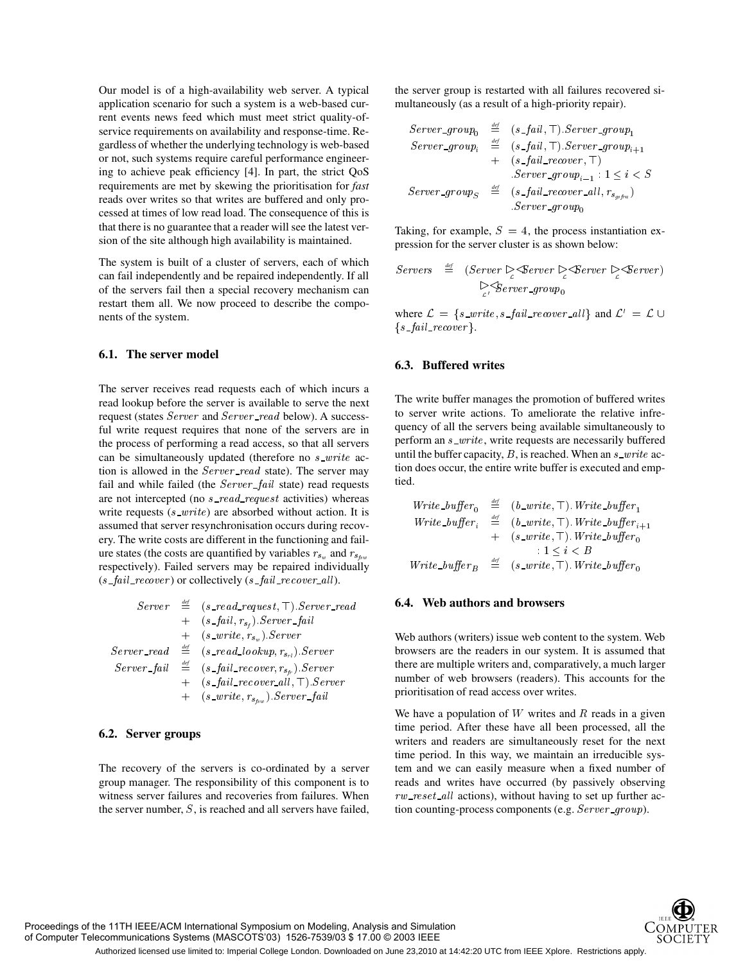Our model is of a high-availability web server. A typical application scenario for such a system is a web-based current events news feed which must meet strict quality-ofservice requirements on availability and response-time. Regardless of whether the underlying technology is web-based or not, such systems require careful performance engineering to achieve peak efficiency [4]. In part, the strict QoS requirements are met by skewing the prioritisation for *fast* reads over writes so that writes are buffered and only processed at times of low read load. The consequence of this is that there is no guarantee that a reader will see the latest version of the site although high availability is maintained.

The system is built of a cluster of servers, each of which can fail independently and be repaired independently. If all of the servers fail then a special recovery mechanism can restart them all. We now proceed to describe the components of the system.

## **6.1. The server model**

The server receives read requests each of which incurs a read lookup before the server is available to serve the next request (states  $Server$  and  $Server\_read$  below). A successful write request requires that none of the servers are in the process of performing a read access, so that all servers can be simultaneously updated (therefore no  $s$  *write* action is allowed in the  $Server\_read$  state). The server may fail and while failed (the  $Server\_fail$  state) read requests are not intercepted (no *s\_read\_request* activities) whereas write requests  $(s\_write)$  are absorbed without action. It is assumed that server resynchronisation occurs during recovery. The write costs are different in the functioning and failure states (the costs are quantified by variables  $r_{s_w}$  and  $r_{s_{ts}}$ respectively). Failed servers may be repaired individually  $(s$ <sub>-fail</sub>-recover) or collectively  $(s$ -fail-recover-all).

|                | $Server \triangleq (s\_read\_request, \top).Server\_read$                          |
|----------------|------------------------------------------------------------------------------------|
|                | $+$ (s_fail, $r_{s_t}$ ). Server_fail                                              |
|                | $+$ (s_write, $r_{s_m}$ ). Server                                                  |
| $Server\_read$ | $\stackrel{\textit{def}}{=}$ (s_read_lookup, r <sub>s<sub>rl</sub></sub> ). Server |
|                | $Server\_fail \cong (s\_fail\_recover, r_{s_{fr}}).Server$                         |
|                | $+$ (s_fail_recover_all, $\top$ ). Server                                          |
|                | $+$ (s_write, $r_{s_{fsw}}$ ). Server_fail                                         |

#### **6.2. Server groups**

The recovery of the servers is co-ordinated by a server group manager. The responsibility of this component is to witness server failures and recoveries from failures. When the server number,  $S$ , is reached and all servers have failed,

the server group is restarted with all failures recovered simultaneously (as a result of a high-priority repair).

$$
Server\_group_0 \stackrel{\text{def}}{=} (s\_fail, \top).Server\_group_1
$$
\n
$$
Server\_group_i \stackrel{\text{def}}{=} (s\_fail, \top).Server\_group_{i+1}
$$
\n
$$
+ (s\_fail\_recover, \top)
$$
\n
$$
Server\_group_S \stackrel{\text{def}}{=} (s\_fail\_recover, \top)
$$
\n
$$
Server\_group_S \stackrel{\text{def}}{=} (s\_fail\_recover\_all, r_{s_{gs}fra})
$$
\n
$$
Server\_group_0
$$

Taking, for example,  $S = 4$ , the process instantiation expression for the server cluster is as shown below:

$$
Servers \stackrel{\text{\it def}}{=} (Server \geq \text{Server} \geq \text{Server} \geq \text{Server})
$$
\n
$$
\geq \text{Server\_group}_0
$$

where  $\mathcal{L} = \{ s \_write, s \_fail\_recover \_ all \}$  and  $\mathcal{L}' = \mathcal{L} \cup$   $\{s\_fail\_recover\}.$ 

#### **6.3. Buffered writes**

The write buffer manages the promotion of buffered writes to server write actions. To ameliorate the relative infrequency of all the servers being available simultaneously to perform an *s\_write*, write requests are necessarily buffered until the buffer capacity,  $B$ , is reached. When an  $s\_write$  action does occur, the entire write buffer is executed and emptied.

$$
\begin{array}{lll} Write\_buffer_0 & \stackrel{\mathrm{def}}{=} & (b\_write, \top). \ Write\_buffer_1 \\ Write\_buffer_i & \stackrel{\mathrm{def}}{=} & (b\_write, \top). \ Write\_buffer_{i+1} \\ & + & (s\_write, \top). \ Write\_buffer_0 \\ & : 1 \leq i < B \\ Write\_buffer_B & \stackrel{\mathrm{def}}{=} & (s\_write, \top). \ Write\_buffer_0 \end{array}
$$

#### **6.4. Web authors and browsers**

Web authors (writers) issue web content to the system. Web browsers are the readers in our system. It is assumed that there are multiple writers and, comparatively, a much larger number of web browsers (readers). This accounts for the prioritisation of read access over writes.

We have a population of  $W$  writes and  $R$  reads in a given time period. After these have all been processed, all the writers and readers are simultaneously reset for the next time period. In this way, we maintain an irreducible system and we can easily measure when a fixed number of reads and writes have occurred (by passively observing rw\_reset\_all actions), without having to set up further action counting-process components (e.g.  $Server\_group$ ).



Proceedings of the 11TH IEEE/ACM International Symposium on Modeling, Analysis and Simulation of Computer Telecommunications Systems (MASCOTS'03) 1526-7539/03 \$ 17.00 © 2003 IEEE

Authorized licensed use limited to: Imperial College London. Downloaded on June 23,2010 at 14:42:20 UTC from IEEE Xplore. Restrictions apply.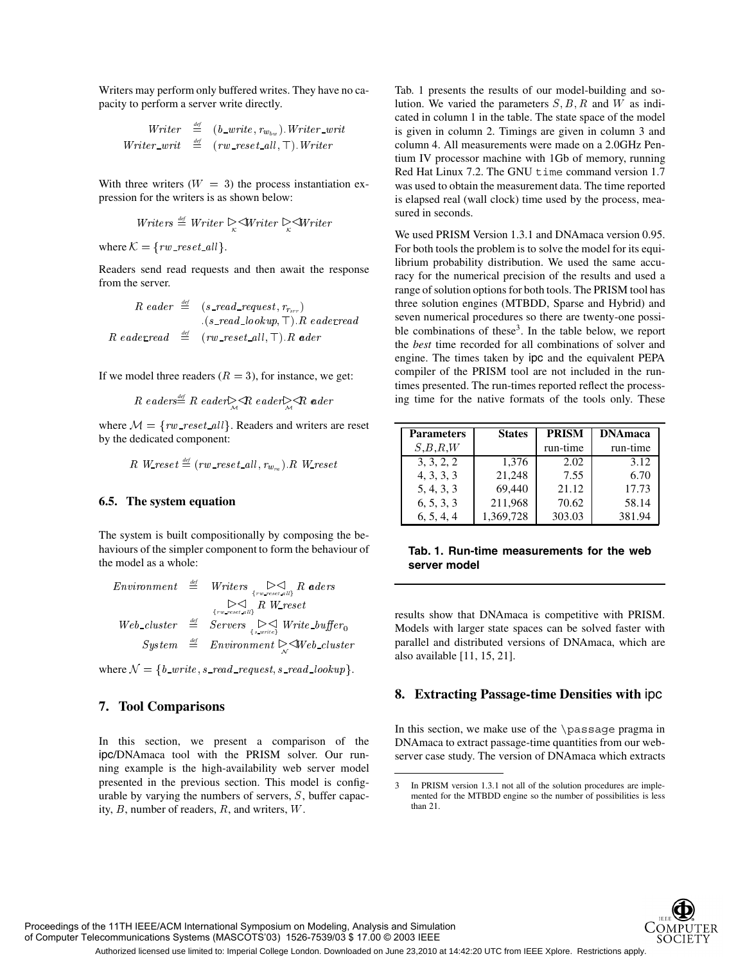Writers may perform only buffered writes. They have no capacity to perform a server write directly.

$$
\begin{array}{rcl}\nWriter & \stackrel{\mathrm{def}}{=} & (b\_write, r_{w_{bw}}). \:Writer\_writ \\
Writer\_writ & \stackrel{\mathrm{def}}{=} & (rw\_reset\_all, \top). \:Writer\n\end{array}
$$

With three writers  $(W = 3)$  the process instantiation expression for the writers is as shown below:

*Writers* 
$$
\stackrel{\text{def}}{=}
$$
 *Writer*  $\underset{\kappa}{\triangleright}$   $\stackrel{\triangle}{=}$  *Writer*  $\underset{\kappa}{\triangleright}$   $\stackrel{\triangle}{=}$  *Writer*

where  $\mathcal{K} = \{rw\_reset\_all\}$ .

Readers send read requests and then await the response from the server.

 *def*  - - - *def* -

If we model three readers  $(R = 3)$ , for instance, we get:

$$
R\;eaders \stackrel{\text{\tiny def}}{=} R\;eader \trianglerighteq R\;eader \trianglerighteq R\;eader
$$

where  $\mathcal{M} = \{rw\_reset\_all\}$ . Readers and writers are reset by the dedicated component:

$$
R \ \ W_{\textit{reset}} \stackrel{\textit{\tiny def}}{=} (\textit{rw\_reset\_all}, r_{w_{ra}}) . R \ \ W_{\textit{reset}}
$$

#### **6.5. The system equation**

The system is built compositionally by composing the behaviours of the simpler component to form the behaviour of the model as a whole:

|  | $\begin{array}{lll} \textit{Environment} & \stackrel{\textit{\tiny def}}{=} & \textit{Writers} {\begin{array}{cc} & \triangleright \triangleleft \\ \textit{fweress} & \textit{if} & \textit{R} \end{array}} \end{array} \begin{array}{ll} \textit{aders} \end{array}$ |     |
|--|------------------------------------------------------------------------------------------------------------------------------------------------------------------------------------------------------------------------------------------------------------------------|-----|
|  | $\sum_{\{rw\_reset\_all\}} R$ W_reset                                                                                                                                                                                                                                  | res |
|  | $Web\_cluster \triangleq \text{Servers} \underset{\{s \text{ write } \}}{\triangleright} \lessdot \text{Write\_buffer}_0$                                                                                                                                              | Mc  |
|  | $System \cong Environment \geq Web-cluster$                                                                                                                                                                                                                            | par |

where  $\mathcal{N} = \{b\_write, s\_read\_request, s\_read\_lookup\}.$ 

## **7. Tool Comparisons**

In this section, we present a comparison of the ipc/DNAmaca tool with the PRISM solver. Our running example is the high-availability web server model presented in the previous section. This model is configurable by varying the numbers of servers,  $S$ , buffer capacity,  $B$ , number of readers,  $R$ , and writers,  $W$ .

Tab. 1 presents the results of our model-building and solution. We varied the parameters  $S, B, R$  and W as indicated in column 1 in the table. The state space of the model is given in column 2. Timings are given in column 3 and column 4. All measurements were made on a 2.0GHz Pentium IV processor machine with 1Gb of memory, running Red Hat Linux 7.2. The GNU time command version 1.7 was used to obtain the measurement data. The time reported is elapsed real (wall clock) time used by the process, measured in seconds.

*eder* ing time for the native formats of the tools only. These We used PRISM Version 1.3.1 and DNAmaca version 0.95. For both tools the problem is to solve the model for its equilibrium probability distribution. We used the same accuracy for the numerical precision of the results and used a range of solution options for both tools. The PRISM tool has three solution engines (MTBDD, Sparse and Hybrid) and seven numerical procedures so there are twenty-one possible combinations of these<sup>3</sup>. In the table below, we report the *best* time recorded for all combinations of solver and engine. The times taken by ipc and the equivalent PEPA compiler of the PRISM tool are not included in the runtimes presented. The run-times reported reflect the process-

| <b>Parameters</b> | <b>States</b> | <b>PRISM</b> | <b>DNAmaca</b> |
|-------------------|---------------|--------------|----------------|
| S, B, R, W        |               | run-time     | run-time       |
| 3, 3, 2, 2        | 1,376         | 2.02         | 3.12           |
| 4, 3, 3, 3        | 21,248        | 7.55         | 6.70           |
| 5, 4, 3, 3        | 69.440        | 21.12        | 17.73          |
| 6, 5, 3, 3        | 211,968       | 70.62        | 58.14          |
| 6, 5, 4, 4        | 1,369,728     | 303.03       | 381.94         |

#### **Tab. 1. Run-time measurements for the web server model**

results show that DNAmaca is competitive with PRISM. Models with larger state spaces can be solved faster with parallel and distributed versions of DNAmaca, which are also available [11, 15, 21].

## **8. Extracting Passage-time Densities with** ipc

In this section, we make use of the  $\passaq$ e pragma in DNAmaca to extract passage-time quantities from our webserver case study. The version of DNAmaca which extracts



<sup>3</sup> In PRISM version 1.3.1 not all of the solution procedures are implemented for the MTBDD engine so the number of possibilities is less than 21.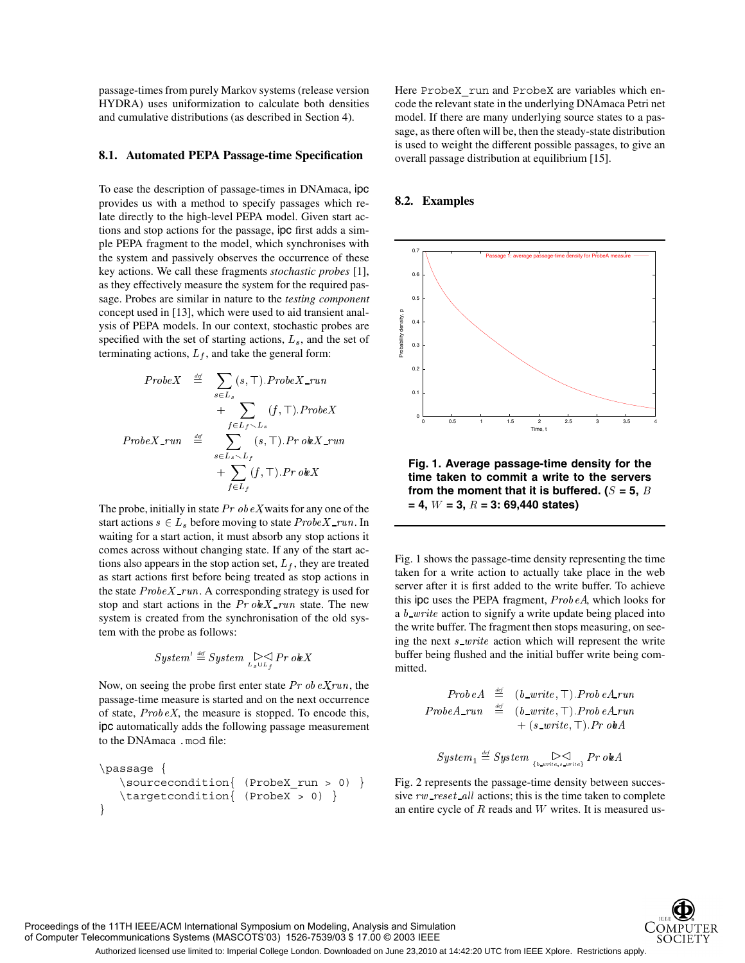passage-times from purely Markov systems (release version HYDRA) uses uniformization to calculate both densities and cumulative distributions (as described in Section 4).

#### **8.1. Automated PEPA Passage-time Specification**

To ease the description of passage-times in DNAmaca, ipc provides us with a method to specify passages which relate directly to the high-level PEPA model. Given start actions and stop actions for the passage, ipc first adds a simple PEPA fragment to the model, which synchronises with the system and passively observes the occurrence of these key actions. We call these fragments *stochastic probes* [1], as they effectively measure the system for the required passage. Probes are similar in nature to the *testing component* concept used in [13], which were used to aid transient analysis of PEPA models. In our context, stochastic probes are specified with the set of starting actions,  $L_s$ , and the set of terminating actions,  $L_f$ , and take the general form:

$$
ProbeX \stackrel{\text{def}}{=} \sum_{s \in L_s} (s, \top). ProbeX\_run
$$
  
+ 
$$
\sum_{f \in L_f \setminus L_s} (f, \top). ProbeX
$$
  

$$
ProbeX\_run \stackrel{\text{def}}{=} \sum_{s \in L_s \setminus L_f} (s, \top). ProbeX\_run
$$
  
+ 
$$
\sum_{f \in L_f} (f, \top). ProbeX
$$

The probe, initially in state  $Pr$  ob  $eX$  waits for any one of the start actions  $s \in L_s$  before moving to state  $ProbeX$ -run. In waiting for a start action, it must absorb any stop actions it comes across without changing state. If any of the start actions also appears in the stop action set,  $L_f$ , they are treated as start actions first before being treated as stop actions in the state  $ProbeX$ -run. A corresponding strategy is used for stop and start actions in the  $Pr \ o \cancel{kX}$ -run state. The new system is created from the synchronisation of the old system with the probe as follows:

$$
\textit{System}' \stackrel{\textit{\tiny def}}{=} \textit{System} \underset{\scriptscriptstyle{L_s \cup L_f}}{\triangleright} \textit{P\_r}~\textit{okX}
$$

Now, on seeing the probe first enter state  $Pr$  ob  $eXrun$ , the passage-time measure is started and on the next occurrence of state,  $Prob\,eX$ , the measure is stopped. To encode this, ipc automatically adds the following passage measurement to the DNAmaca .mod file:

```
\passage {
   \simeq \sourcecondition{ (ProbeX run > 0) }
   \targetcondition{ (ProbeX > 0) }
}
```
Here ProbeX run and ProbeX are variables which encode the relevant state in the underlying DNAmaca Petri net model. If there are many underlying source states to a passage, as there often will be, then the steady-state distribution is used to weight the different possible passages, to give an overall passage distribution at equilibrium [15].

#### **8.2. Examples**



**Fig. 1. Average passage-time density for the time taken to commit a write to the servers from the moment that it is buffered. (** $S = 5$ **, B)**  $= 4, W = 3, R = 3: 69,440$  states)

Fig. 1 shows the passage-time density representing the time taken for a write action to actually take place in the web server after it is first added to the write buffer. To achieve this ipc uses the PEPA fragment,  $Prob\,eA$ , which looks for a  $b\_write$  action to signify a write update being placed into the write buffer. The fragment then stops measuring, on seeing the next  $s\_write$  action which will represent the write buffer being flushed and the initial buffer write being committed.

$$
\begin{array}{rcl} Prob\,e\,A & \stackrel{\mathrm{def}}{=} & (b\_\_write, \top).Prob\,eA\_\_run \\ Prob\,A\_\_run & \stackrel{\mathrm{def}}{=} & (b\_\_write, \top).Prob\,eA\_\_run \\ & & \quad + (s\_\_write, \top).Pr\,o\,Phi\,A \end{array}
$$

$$
\textit{System}_1 \stackrel{\textit{\tiny def}}{=} \textit{System}_{\{b\_write, s\_write\}} \textit{Pr o} \textit{le} \textit{A}
$$

Fig. 2 represents the passage-time density between successive  $rw\_reset\_all$  actions; this is the time taken to complete an entire cycle of  $R$  reads and  $W$  writes. It is measured us-



Proceedings of the 11TH IEEE/ACM International Symposium on Modeling, Analysis and Simulation of Computer Telecommunications Systems (MASCOTS'03) 1526-7539/03 \$ 17.00 © 2003 IEEE

Authorized licensed use limited to: Imperial College London. Downloaded on June 23,2010 at 14:42:20 UTC from IEEE Xplore. Restrictions apply.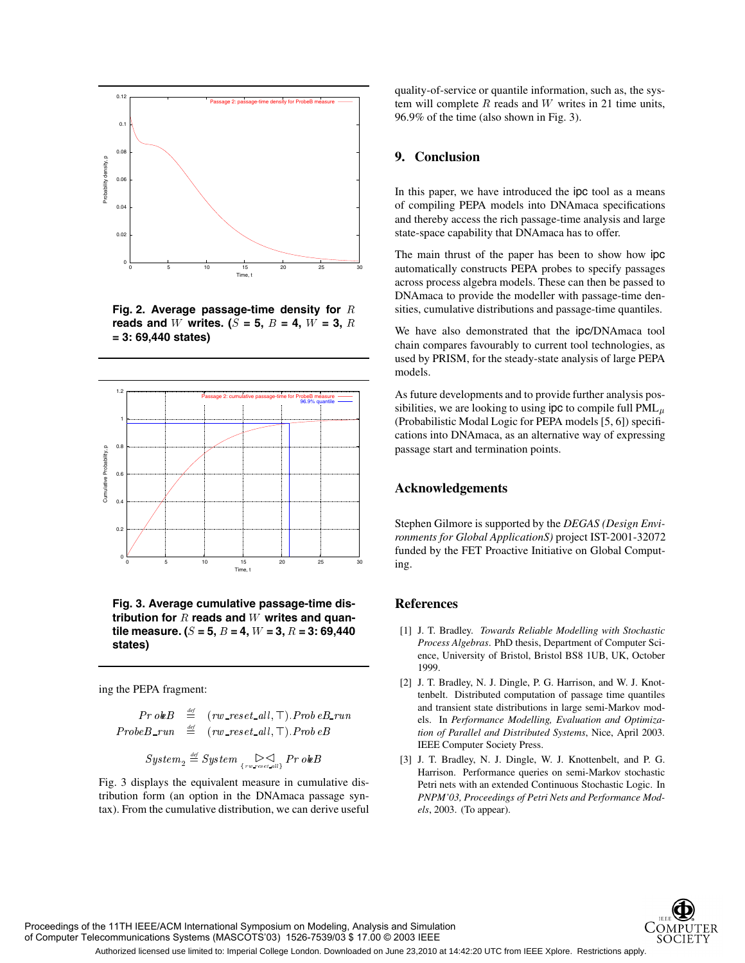

**Fig. 2. Average passage-time density for reads and** W writes. ( $S = 5$ ,  $B = 4$ ,  $W = 3$ ,  $R = 1$ **= 3: 69,440 states)**



**Fig. 3. Average cumulative passage-time dis**tribution for  $R$  reads and  $W$  writes and quan- ${\bf t}$ ile measure. ( $S$  = 5,  $B$  = 4,  $W$  = 3,  $R$  = 3: 69,440 **states)**

ing the PEPA fragment:

$$
\begin{array}{rcl} Pr~obB & \stackrel{\textit{def}}{=} & (rw\_reset\_all, \top). \textit{Prob}~eB\_run \\ ProbB\_run & \stackrel{\textit{def}}{=} & (rw\_reset\_all, \top). \textit{Prob}~eB \end{array}
$$

$$
\textit{System}_2 \stackrel{\textit{\tiny def}}{=} \textit{System} \underset{\scriptscriptstyle \{rw\_reset\_all\}}{\triangleright} \textit{Pr o}~\bm{b}~\bm{B}
$$

Fig. 3 displays the equivalent measure in cumulative distribution form (an option in the DNAmaca passage syntax). From the cumulative distribution, we can derive useful quality-of-service or quantile information, such as, the system will complete  $R$  reads and  $W$  writes in 21 time units, 96.9% of the time (also shown in Fig. 3).

## **9. Conclusion**

In this paper, we have introduced the ipc tool as a means of compiling PEPA models into DNAmaca specifications and thereby access the rich passage-time analysis and large state-space capability that DNAmaca has to offer.

The main thrust of the paper has been to show how ipc automatically constructs PEPA probes to specify passages across process algebra models. These can then be passed to DNAmaca to provide the modeller with passage-time densities, cumulative distributions and passage-time quantiles.

We have also demonstrated that the ipc/DNAmaca tool chain compares favourably to current tool technologies, as used by PRISM, for the steady-state analysis of large PEPA models.

As future developments and to provide further analysis possibilities, we are looking to using ipc to compile full  $PML_u$ (Probabilistic Modal Logic for PEPA models [5, 6]) specifications into DNAmaca, as an alternative way of expressing passage start and termination points.

## **Acknowledgements**

Stephen Gilmore is supported by the *DEGAS (Design Environments for Global ApplicationS)* project IST-2001-32072 funded by the FET Proactive Initiative on Global Computing.

## **References**

- [1] J. T. Bradley. *Towards Reliable Modelling with Stochastic Process Algebras*. PhD thesis, Department of Computer Science, University of Bristol, Bristol BS8 1UB, UK, October 1999.
- [2] J. T. Bradley, N. J. Dingle, P. G. Harrison, and W. J. Knottenbelt. Distributed computation of passage time quantiles and transient state distributions in large semi-Markov models. In *Performance Modelling, Evaluation and Optimization of Parallel and Distributed Systems*, Nice, April 2003. IEEE Computer Society Press.
- [3] J. T. Bradley, N. J. Dingle, W. J. Knottenbelt, and P. G. Harrison. Performance queries on semi-Markov stochastic Petri nets with an extended Continuous Stochastic Logic. In *PNPM'03, Proceedings of Petri Nets and Performance Models*, 2003. (To appear).